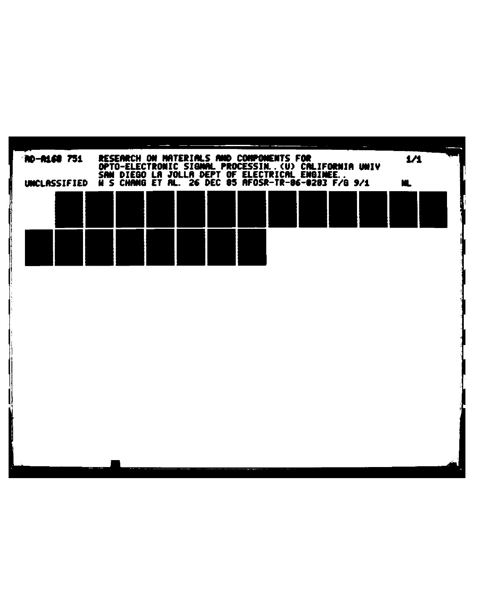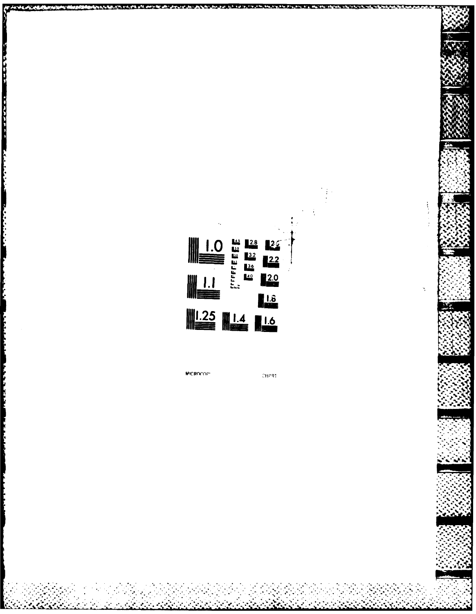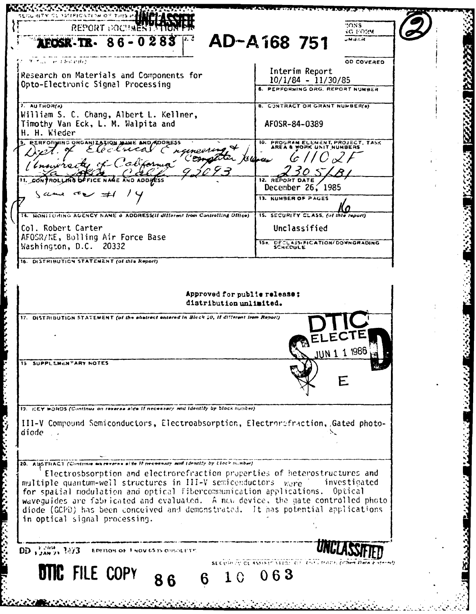| REPORT BOCHAE                                                                                                                                                                                                                                                                                                                                                     | TONS.<br><b>CE FORM</b>                              |
|-------------------------------------------------------------------------------------------------------------------------------------------------------------------------------------------------------------------------------------------------------------------------------------------------------------------------------------------------------------------|------------------------------------------------------|
| <b><i>AFOSR-TR-86-0283</i></b>                                                                                                                                                                                                                                                                                                                                    | AD-A168 751<br>n sewi                                |
| Through an a Societie)                                                                                                                                                                                                                                                                                                                                            | <b>OD COVERED</b>                                    |
| Research on Materials and Components for                                                                                                                                                                                                                                                                                                                          | Interim Report<br>$10/1/84 - 11/30/85$               |
| Opto-Electronic Signal Processing                                                                                                                                                                                                                                                                                                                                 | 6. PERFORMING ORG. REPORT NUMBER                     |
| 7. AUTHOR(a)                                                                                                                                                                                                                                                                                                                                                      | 8. CONTRACT OR GRANT NUMBER(a)                       |
| William S. C. Chang, Albert L. Kellner,<br>Timothy Van Eck, L. M. Walpita and<br>H. H. Wieder                                                                                                                                                                                                                                                                     | AFOSR-84-0389                                        |
| YUING ORGANIZAZION NAME AND/ADDRESS<br>$n$ gineesing, $4$                                                                                                                                                                                                                                                                                                         | 10. PROGRAM ELEMENT, PROJECT, TASK                   |
| chforma                                                                                                                                                                                                                                                                                                                                                           |                                                      |
| FICE NAME AND ADDITESS                                                                                                                                                                                                                                                                                                                                            | 12. REPORT DATE                                      |
| $s$ and $\sigma$ $\rightarrow$ $\pm 1$                                                                                                                                                                                                                                                                                                                            | December $26, 1985$                                  |
|                                                                                                                                                                                                                                                                                                                                                                   | 13. NUMBER OF PAGES                                  |
| 14. MONITORING AGENCY NAME & ADDRESS(If different from Controlling Office)                                                                                                                                                                                                                                                                                        | 15. SECURITY CLASS. (of this report)                 |
| Col. Robert Carter<br>AFOSR/NE, Bolling Air Force Base                                                                                                                                                                                                                                                                                                            | Unclassified                                         |
| Washington, D.C. 20332                                                                                                                                                                                                                                                                                                                                            | 154. DECLASSIFICATION/DOWNGRADING<br>SCHEDULE        |
| 16. DISTRIBUTION STATEMENT (of this Report)                                                                                                                                                                                                                                                                                                                       |                                                      |
| 19 SUPPLEMENTARY NOTES                                                                                                                                                                                                                                                                                                                                            | MELEC<br><b>JUN 1 1 1986</b>                         |
| 13. KEY WORDS (Continue on reverse alds if necessary and identify by block number).                                                                                                                                                                                                                                                                               | Е                                                    |
| III-V Compound Semiconductors, Electroabsorption, Electrorefraction, Gated photo-                                                                                                                                                                                                                                                                                 |                                                      |
| diode                                                                                                                                                                                                                                                                                                                                                             |                                                      |
|                                                                                                                                                                                                                                                                                                                                                                   |                                                      |
| Electrosbsorption and electrorefraction properties of heterostructures and<br>for spatial modulation and optical fibercommunication applications. Optical<br>waveguides are fabricated and evaluated. A now device, the gate controlled photo<br>diode (GCPD) has been conceived and demonstrated. It has potential applications<br>in optical signal processing. | investigated                                         |
|                                                                                                                                                                                                                                                                                                                                                                   |                                                      |
| 20. ABSTRACT (Continue on reverse alta Il necessary and identify by Llock mimber)<br>multiple quantum-well structures in III-V semicenductors were<br>$DD_{3.2AB/23}$ $14/3$ EDITION OF 1 NOV 65 IS OBSOLETE.                                                                                                                                                     |                                                      |
| <b>UTIC FILE COPY</b>                                                                                                                                                                                                                                                                                                                                             | SECURICY OF ASSISTANTIC: OF THIS PACE (C<br>6 10 063 |

**DERECK DER STERN DER WEIGEN DER STERN DER STERN DER STERN DER STERN DER STERN DER STERN DER STERN DER STERN DE** 

**BARROOM** 

المزارين والمتواطن المحاولات والمتحالي المت

 $\frac{1}{2}$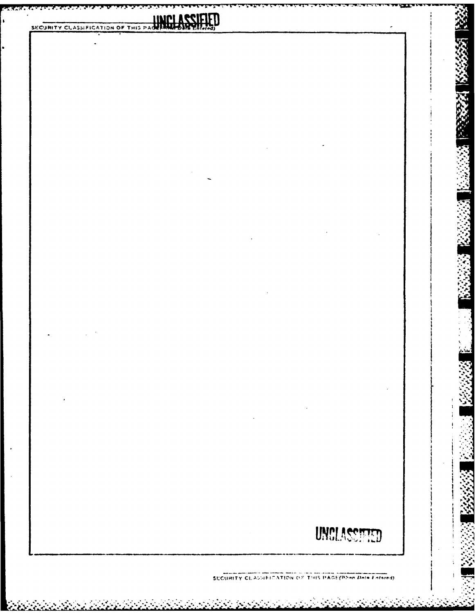

SECURITY CLASSIFICATION OF THIS PAGE(INTO Dete Enforce)

الموارد والمرادي

 $\mathcal{L}(\mathcal{L})$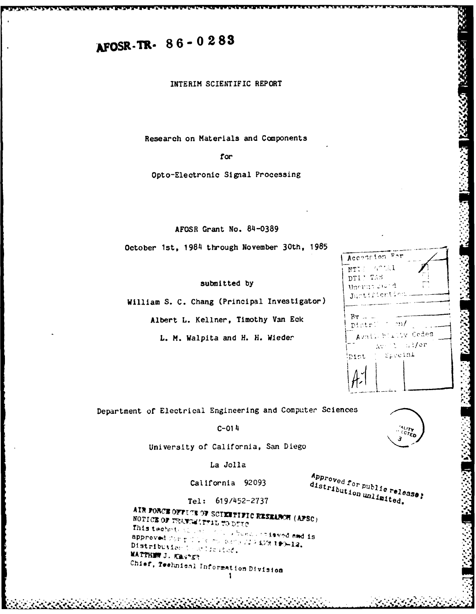# AFOSR-TR- 86-0283

#### INTERIM SCIENTIFIC REPORT

Research on Materials and Components

for

Opto-Electronic Signal Processing

AFOSR Grant No. 84-0389

October 1st, 1984 through November 30th, 1985

# submitted by

William S. C. Chang (Principal Investigator) Albert L. Kellner, Timothy Van Eck L. M. Walpita and H. H. Wieder

| Accession For                    |  |
|----------------------------------|--|
| NTIE GOMAI                       |  |
| DTI: TAS                         |  |
| Uncertis 2027 $\Delta$           |  |
| Juntification                    |  |
|                                  |  |
| $By -$                           |  |
| - 211/<br>Distr.                 |  |
| Available Liny Cedes             |  |
| $\chi_{\rm V} \approx 1-1.3$ /or |  |
| Special<br>Dict                  |  |
|                                  |  |
|                                  |  |
|                                  |  |
|                                  |  |

Department of Electrical Engineering and Computer Sciences

 $C - 014$ 

University of California, San Diego

La Jolla

California 92093

Approved for public release; distribution unlimited.

Tel: 619/452-2737

AIR FORCE OFFICE OF SCIENTIFIC RESEARCH (AFSC) NOTICE OF TRAVILITYAL TO DUIC This technical care and **A Prency of Lawod and is** approved star policies and same 220 APR 190-12. Distribution to attrated. MATTHEW J. KENTER Chief, Technical Information Division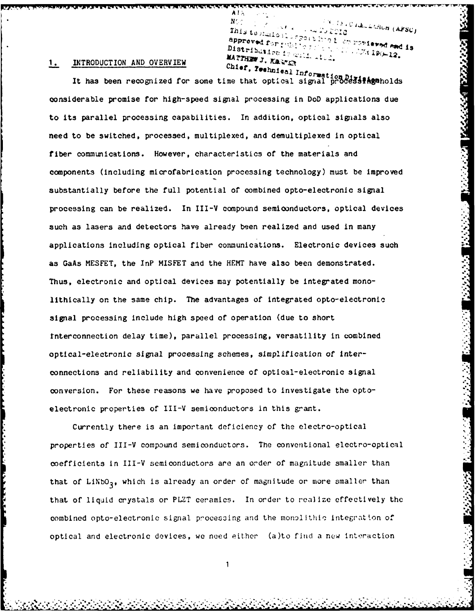INTRODUCTION AND OVERVIEW  $\mathbf{1}_{\bullet}$ 

It has been recognized for some time that optical signal processing aholds considerable promise for high-speed signal processing in DoD applications due to its parallel processing capabilities. In addition, optical signals also need to be switched, processed, multiplexed, and demultiplexed In optical fiber communications. However, characteristics of the materials and components (including microfabrication processing technology) must be improved substantially before the full potential of combined opto-electronic signal processing can be realized. In III-V compound semiconductors, optical devices such as lasers and detectors have already been realized and used in many applications including optical fiber communications. Electronic devices such as GaAs MESFET, the InP MISFET and the HEMT have also been demonstrated. Thus, electronic and optical devices may potentially be integrated monolithically on the same chip. The advantages of integrated opto-electronic signal processing include high speed of operation (due to short tnterconnection delay time), parallel processing, versatility in combined optical-electronic signal processing schemes, simplification of interconnections and reliability and convenience of optical-electronic signal conversion. For these reasons we have proposed to investigate the optoelectronic properties of III-V semiconductors in this grant.

**A.L.**<br>NGC

**Chief J. Rakyan <sup>Info 2</sup>04.**<br>Chief Mass

approved for full to re

 $\sim 10^{11}$ 

This testants in the service of the attion (AFSC)

.<br>Puzzel Halardium (AKSC)

2010/2012 12:42

222222222

Currently there is an important deficiency of the electro-optical properties of III-V compound semiconductors. The conventional electro-optical coefficients in III-V semiconductors are an order of magnitude smaller than that of  $LiNbO<sub>2</sub>$ , which is already an order of magnitude or more smaller than that of liquid crystals or *PLZT* ceramics. In order to realize effectively the combined opto-electronic signal processing and the monolithic integration of optical and electronic devices, we need either (a)to find a new interaction

 $\mathbf{1}$ 

 $\ddot{\cdot}$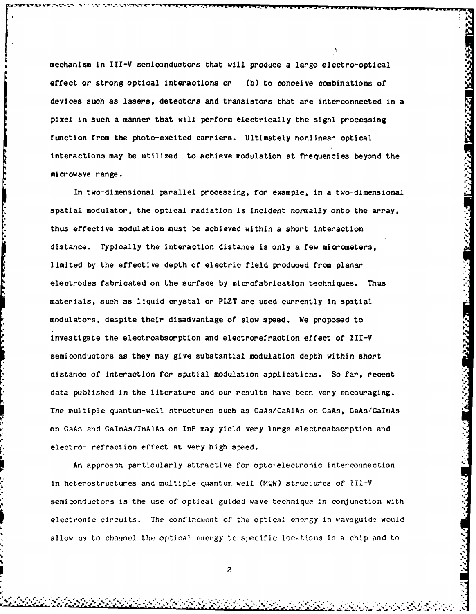mechanism in **III-V** semiconductors that will produce a large electro-optical effect or strong optical interactions or **(b)** to conceive combinations of devices such as lasers, detectors and transistors that are interconnected in a pixel in such a manner that will perform electrically the signl processing function from the photo-excited carriers. Ultimately nonlinear optical interactions may be utilized to achieve modulation at frequencies beyond the microwave range.

**process** in the state of the second process in the second second in the second second in the second second in the second second in the second second in the second second in the second second in the second second in the se

In two-dimensional parallel processing, for example, in a two-dimensional spatial modulator, the optical radiation is incident normally onto the array, thus effective modulation must be achieved within a short interaction distance. Typically the interaction distance is only a few micrometers, limited **by** the effective depth of electric field produced from planar electrodes fabricated on the surface **by** microfabrication techniques. Thus materials, such as liquid crystal or PLZT are used currently in spatial modulators, despite their disadvantage of slow speed. We proposed to investigate the electroabsorption and electrorefraction effect of **III-V** semiconductors as they may give substantial modulation depth within short distance of interaction for spatial modulation applications. So far, recent data published in the literature and our results have been very encouraging. *.9.* The multiple quantum-well structures such as GaAs/GaAlAs on GaAs, GaAs/GaInAs on GaAs and GaInAs/InAlAs on InP may yield very large electroabsorption and electro- refraction effect at very high speed.

An approach particularly attractive for opto-electronic interconnection in heterostructures and multiple quantum-well (MQW) structures of III-V semiconductors is the use of optical guided wave technique in conjunction with electronic circuits. The confinement of the optical energy in waveguide would allow us to channel the optical energy to specific locations in a **chip** and to

S.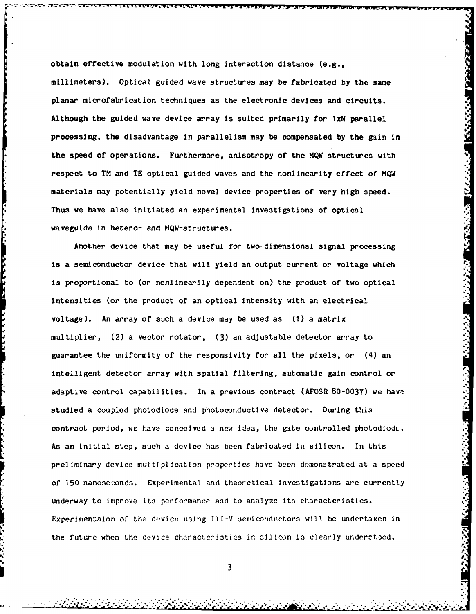obtain effective modulation with long interaction distance (e.g., millimeters). Optical guided wave structures may be fabricated **by** the same planar microfabrication techniques as the electronic devices and circuits. Although the guided wave device array is suited primarily for **IxN** parallel processing, the disadvantage In parallelism may be compensated **by** the gain in the speed of operations. Furthermore, anisotropy of the MQW structures with respect to TM and **TE** optical guided waves and the nonlinearity effect of MQW materials may potentially yield novel device properties of very high speed. Thus we have also initiated an experimental investigations of optical waveguide in hetero- and MQW-structures.

Another device that may be useful for two-dimensional signal processing is a semiconductor device that will yield an output current or voltage which Is proportional to (or nonlinearily dependent on) the product of two optical intensities (or the product of an optical intensity with an electrical voltage). An array of such a device may be used as **(1)** a matrix multiplier, (2) a vector rotator, **(3)** an adjustable detector array to guarantee the uniformity of the responsivity for all the pixels, or  $(4)$  an intelligent detector array with spatial filtering, automatic gain control or adaptive control capabilities. In a previous contract (AFOSR 80-0037) we havestudied a coupled photodiode and photoconductive detector. During this contract period, we have conceived a new idea, the gate controlled photodiodc. As an initial step, such a device has been fabricated in silicon. In this preliminary device multiplication properties have been demonstrated at a speed of **150** nanoseconds. Experimental and theoretical investigations are currently underway to improve its performance and to analyze its characteristics. Experimentaion of the device using III-V semiconductors will be undertaken in the future when the device characteristics in silicon is clearly understood.

**S3 4. S3 4. S3 4. S3 4. S3 4. S3 4. S3 4. S3 4. S3 4. S3 4. S3 4. S3 4. S3 4. S3 4. S3 4. S3 4. S3 4. S3 4.** 

**%** .

ان<br>اندن بردنگ

**ASSOCIATE** 

5555554

N<br>N<br>I

**TAGES**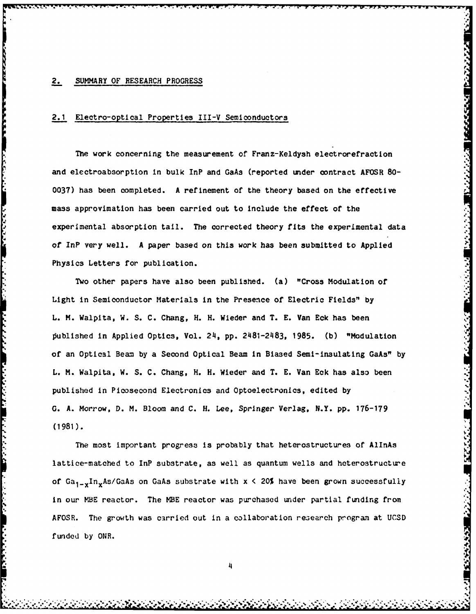#### 2. **SUMMARY OF RESEARCH PROGRESS**

كالمناور والمرابطة المتعارف والمناور والمستعمل والمرابط والمرابط والمناور والمستعمل والمستعمل والمستعمل والمستعمل والمستعمل والمستعمل والمستعمل والمستعمل والمستعمل والمستعمل والمستعمل والمستعمل والمستعمل والمستعمل والمستعم

はんじゅう かいかん

#### 2.1 Electro-optical Properties III-V Semiconductors

The work concerning the measurement of Franz-Keldysh electrorefraction and electroabsorption in bulk InP and GaAs (reported under contract AFOSR 80- 0037) has been completed. A refinement of the theory based on the effective mass approvimation has been carried out to include the effect of the experimental absorption tail. The corrected theory fits the experimental data of InP very well. A paper based on this work has been submitted to Applied Physics Letters for publication.

Two other papers have also been published. (a) "Cross Modulation of Light in Semiconductor Materials in the Presence of Electric Fields" by L. M. Walpita, W. S. C. Chang, H. H. Wieder and T. **E.** Van Eck has been <sup>4</sup> Oublished in Applied Optics, Vol. 24, pp. 2481-2483, **1985. (b)** "Modulation of an Optical Beam by a Second Optical Beam in Biased Semi-insulating GaAs" by L. M. Walpita, W. **S. C.** Chang, H. H. Wieder and T. E. Van Eck has also been published in Picosecond Electronics and Optoelectronics, edited **by G.** A. Morrow, D. M. Bloom and **C.** H. Lee, Springer Verlag, N.Y. pp. 176-179 (1981).

The most important progress is probably that heterostructures of AlInAs lattice-matched to InP substrate, as well as quantum wells and heterostructure of  $Ga_{1-x}$ In<sub>x</sub>As/GaAs on GaAs substrate with  $x < 20\%$  have been grown successfully in our MBE reactor. The MBE reactor was purchased under partial funding from AFOSR. The growth was carried out in a collaboration research program at UCSD funded by ONR.

**SECTION** 

23355333

 $\mathbf{q}$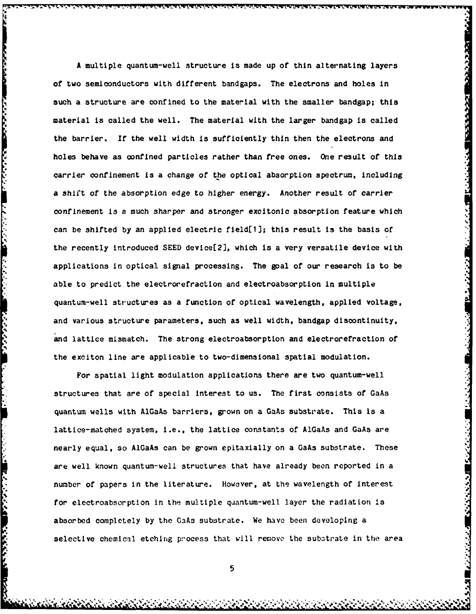A multiple quantum-well structure is made up or thin alternating layers of two semiconductors with different bandgaps. The electrons and holes in such a structure are confined to the material with the smaller bandgap; this material is called the well. The material with the larger bandgap is called the barrier. **If** the well width is sufficiently thin then the electrons and holes behave as confined particles rather than tree ones. One result of this **\*** multiple quantum-well structure is made up of thin alternating layers<br>of two semiconductors with different bandgaps. The electrons and holes in<br>such a structure are confined to the material with the smaller bandgap; th a shift of the absorption edge to higher energy. Another result of carrier confinement is a much sharper and stronger excitonic absorption feature which can be shifted by an applied electric field[1]; this result is the basis of the recently introduced SEED device[2], which is a very versatile device with applications in optical signal processing. The goal of our research is to be able to predict the electrorefraction and electroabsorption in multiple quantum-well structures as a function of optical wavelength, applied voltage, and various structure parameters, such as well width, bandgap discontinuity, and lattice mismatch. The strong electroabsorption and electrorefraction of the exciton line are applicable to two-dimensional spatial modulation.

IL **--** 1. **-- . --.- t ! 1V** VLKV-' **% - k, W % -\_1 -I-i V** - **U-V** US **. 7W** k- **U am N 0.WEV**

いない いたい アイバー

**DECEMBER** 

こうしょう アクセル アイ・ディー・ディー

For spatial light modulation applications there are two quantum-well structures that are of special interest to us. The first consists of GaAs quantum wells with AlGaAs barriers, grown on a GaAs substrate. This is a lattice-matched system, i.e., the lattice constants of AlGaAs and GaAs are nearly equal, so AlGaAs can be grown epitaxially on a GaAs substrate. These are well known quantum-well structures that have already been reported in a number of papers in the literature. However, at the wavelength of interest<br>are well known quantum-well structures that have already been reported in a<br>number of papers in the literature. However, at the wavelength of inter for electroabsorption in the multiple quantum-well layer the radiation is absorbed completely **by** the GaAs substrate. We have been developing a selective chemical etching process that will remove the substrate in the area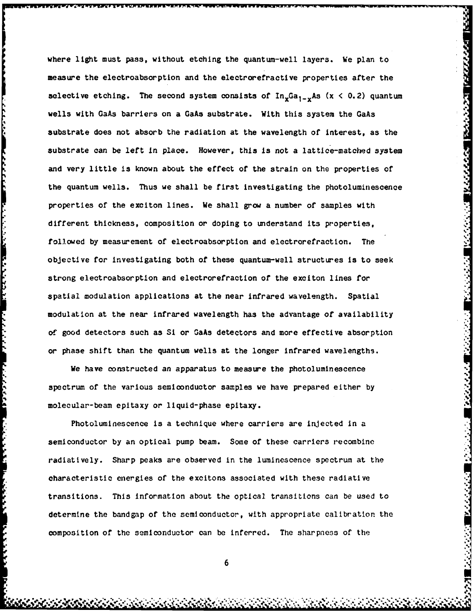where light must pass, without etching the quantum-well layers. We plan to measure the electroabsorption and the electrorefractive properties after the selective etching. The second system consists of  $In_xGa_{1-x}As$  (x < 0.2) quantum wells with GaAs barriers on a GaAs substrate. With this system the GaAs substrate does not absorb the radiation at the wavelength of interest, as the substrate can be left In place. However, this is not a lattice-matched system and very little is known about the effect of the strain on the properties of the quantum wells. Thus we shall be first investigating the photoluminescence properties of the exciton lines. We shall grow a number of samples with different thickness, composition or doping to understand its properties, followed **by** measurement of electroabsorption and electrorefraction. The objective for investigating both of these quantum-well structures is to seek strong electroabsorption and electrorefraction of the exciton lines for spatial modulation applications at the near infrared wavelength. Spatial modulation at the near infrared wavelength has the advantage of availability of good detectors such as Si or GaAs detectors and more effective absorption or phase shift than the quantum wells at the longer infrared wavelengths.

<u>נו מוקדות או מוקד היה היה המחינות המוקדמות המ</u>

**Marchan** 

We have constructed an apparatus to measure the photoluminescence spectrum of the various semiconductor samples we have prepared either by molecular-beam epitaxy or liquid-phase epitaxy.

. Photoluminescence is a technique where carriers are injected in a semiconductor by an optical pump beam. Some of these carriers recombine radiatively. Sharp peaks are observed in the luminescence spectrum at the characteristic energies of the excitons associated with these radiative transitions. This information about the optical transitions can be used to determine the bandgap of the semiconductor, with appropriate calibration the composition of the semiconductor can be inferred. The sharpness of the

 $\epsilon$ 

**1\*.~** ~ . \*'\*.,\* .... **%** \*\*~ \*.e

"d \*' \*\*-..~ \* . \*. \* .. -'- \*. . ~ . \* **<sup>N</sup>**

**183333** 

またいいん (公園)にんいいいつ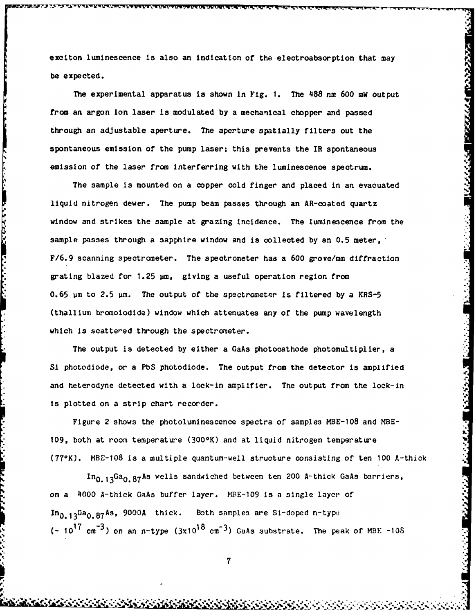exciton luminescence is also an indication of the electroabsorption that may be expected.

The experimental apparatus is shown In **Fig. 1.** The 488 nm **600** mW output from an argon ion laser is modulated by a mechanical chopper and passed through an adjustable aperture. The aperture spatially filters out the spontaneous emission of the pump laser; this prevents the IR spontaneous emission of the laser from Interferring with the luminescence spectrum.

**WAASA BEEKA MAXEEY MARTI** 

The sample is mounted on a copper cold finger and placed in an evacuated liquid nitrogen dewer. The pump beam passes through an AR-coated quartz window and strikes the sample at grazing incidence. The luminescence from the sample passes through a sapphire window and is collected **by** an **0.5** meter, **F/6.9** scanning spectrometer. The spectrometer has a **600** grove/mm diffraction grating blazed for **1.25** pam, giving a useful operation region from **0.65** Um to **2.5 pm.** The output of the spectrometer is filtered **by** a **KRS-5** (thallium bromoiodide) window which attenuates any of the pump wavelength which is scattered through the spectrometer.

The output is detected **by** either a GaAs photocathode photomultiplier, a Si photodiode, or a **PbS** photodiode. The output from the detector is amplified and heterodyne detected with a lock-in amplifier. The output from the lock-in si photodiode, or a PbS photodiode. The output from the detector is amplified<br>and heterodyne detected with a lock-in amplifier. The output from the lock-in<br>is plotted on a strip chart recorder.

Figure 2 shows the photoluminescence spectra of samples MBE-108 and MBE-109, both at room temperature (300°K) and at liquid nitrogen temperature (770K). MBE-108 is a multiple quantum-well structure consisting of ten **100** A-thick

Ino. **<sup>1</sup> 3Gao** <sup>8</sup> <sup>7</sup> As wells sandwiched between ten 200 A-thick GaAs barriers, on a 4000 A-thick GaAs buffer layer. MBE-109 is a single layer of In<sub>0.13</sub>Ga<sub>0.87</sub>As, 9000A thick. Both samples are Si-doped n-type  $(-10^{17} \text{ cm}^{-3})$  on an n-type  $(3x10^{18} \text{ cm}^{-3})$  GaAs substrate. The peak of MBE -108

**7**

6 **Al**

**ALLAND CARD** 

**WARD CONNECTIONS**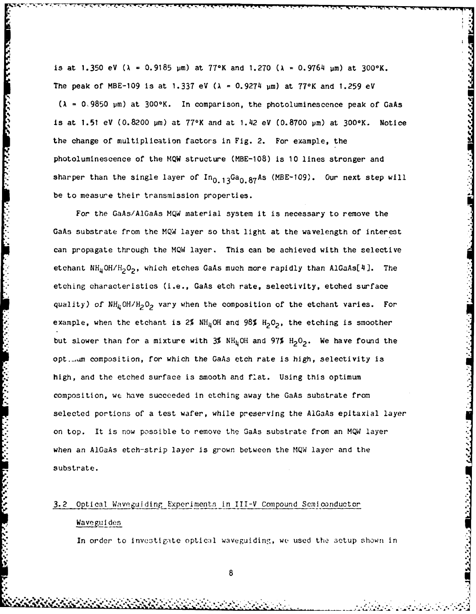is at **1.350 eV** ( $\lambda = 0.9185$   $\mu$ m) at 77°K and **1.270** ( $\lambda = 0.9764$   $\mu$ m) at 300°K. The peak of MBE-109 is at 1.337 eV  $(\lambda = 0.9274 \text{ }\mu\text{m})$  at 77°K and 1.259 eV  $(\lambda = 0.9850 \text{ pm})$  at 300°K. In comparison, the photoluminescence peak of GaAs is at **1.51** eV (0.8200 pm) at 770K and at 1.42 eV (0.8700 pm) at 3000K. Notice the change of multiplication factors in Fig. 2. For example, the photoluminescence of the MQW structure (MBE-108) is **10** lines stronger and sharper than the single layer of  $In_{0.13}Ga_{0.87}$ As (MBE-109). Our next step will be to measure their transmission properties.

ビジンゴ ランシングスクリング

For the GaAs/AiGaAs MQW material system it is necessary to remove the GaAs substrate from the MQW layer so that light at the wavelength of interest can propagate through the MQW layer. This can be achieved with the selective etchant  $NH_{4}OH/H_{2}O_{2}$ , which etches GaAs much more rapidly than AlGaAs[4]. The . etching characteristics (i.e., GaAs etch rate, selectivity, etched surface quality) of  $NH_{4}$ OH/H<sub>2</sub>O<sub>2</sub> vary when the composition of the etchant varies. For example, when the etchant is 2%  $NH_{4}$ OH and 98%  $H_{2}O_{2}$ , the etching is smoother but slower than for a mixture with  $3\%$  NH<sub>4</sub>OH and  $97\%$  H<sub>2</sub>O<sub>2</sub>. We have found the opt...um composition, for which the GaAs etch rate is high, selectivity is high, and the etched surface is smooth and flat. Using this optimum composition, we have succeeded in etching away the GaAs substrate from selected portions of a test wafer, while preserving the AIGaAs epitaxial layer on top. It is now possible to remove the GaAs substrate from an MQW layer when an AlGaAs etch-strip layer is grown between the MQW layer and the substrate.

# 3.2 Optical Waveguiding Experiments in III-V Compound Semiconductor

**A.1**

# Waves **u** i des

**1222227** 

**Contains and** 

In order to invcstigate optical waveguiding, we used the 3ctup shown in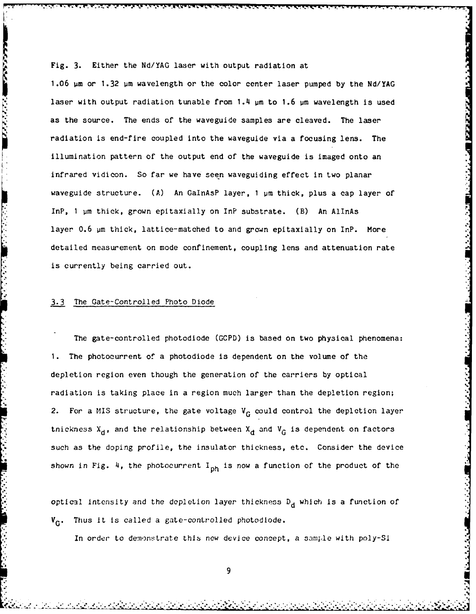Fig. 3. Either the Nd/YAG laser with output radiation at 1.06  $\mu$ m or 1.32  $\mu$ m wavelength or the color center laser pumped by the Nd/YAG laser with output radiation tunable from 1.4 um to **1.6** um wavelength is used as the source. The ends of the waveguide samples are cleaved. The laser radiation is end-fire coupled into the waveguide via a focusing lens. The illumination pattern of the output end of the waveguide is imaged onto an infrared vidicon. So far we have seen waveguiding effect in two planar waveguide structure. (A) An GaInAsP layer, **1** Um thick, plus a cap layer of InP, **1** pm thick, grown epitaxially on InP substrate. (B) An AlInAs layer 0.6 µm thick, lattice-matched to and grown epitaxially on InP. More detailed measurement on mode confinement, coupling lens and attenuation rate is currently being carried out.

.'7%';W -1C -L *V7* **T. T7 T7 T- 1.01 TVT .**

### 3.3 The Gate-Controlled Photo Diode

The gate-controlled photodiode (GCPD) is based on two physical phenomena: 1. The photocurrent of a photodiode is dependent on the volume of the depletion region even though the generation of the carriers by optical radiation is taking place in a region much larger than the depletion region; 2. For a MIS structure, the gate voltage  $V_G$  could control the depletion layer tnickness  $X_d$ , and the relationship between  $X_d$  and  $V_G$  is dependent on factors such as the doping profile, the insulator thickness, etc. Consider the device shown in Fig. 4, the photocurrent  $I_{ph}$  is now a function of the product of the

optical intensity and the depletion layer thickness  $D_d$  which is a function of  $V_G$ . Thus it is called a gate-controlled photodiode.

In order to demonstrate this new device concept, a sample with poly-Si

**9**

**.°** •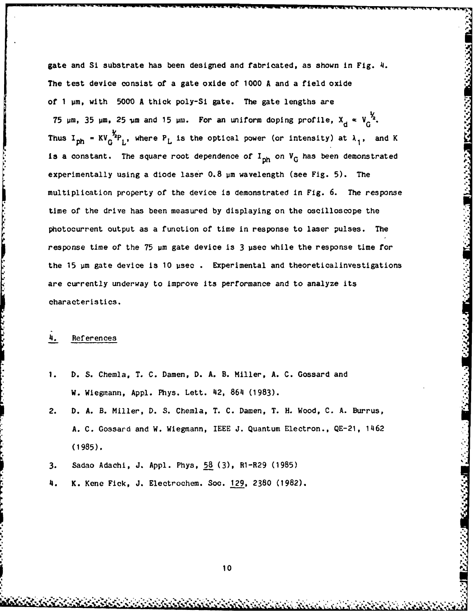gate and **SI** substrate has been designed and fabricated, as shown in Fig. 4. The test device consist of a gate oxide of **1000** A and a field oxide of **1** im, with **5000** A thick poly-Si gate. The gate lengths are **75**  $\mu$ m, 35  $\mu$ m, 25  $\mu$ m and 15  $\mu$ m. For an uniform doping profile,  $X_{d} \propto V_{G}^{\frac{1}{2}}$ . Thus  $I_{ph} = KV_G^{Z_p}I_L$ , where  $P_L$  is the optical power (or intensity) at  $\lambda_1$ , and K is a constant. The square root dependence of I<sub>ph</sub> on V<sub>G</sub> has been demonstrated experimentally using a diode laser **0.8** pm wavelength (see Fig. **5).** The multiplication property of the device is demonstrated in Fig. 6. The response time of the drive has been measured by displaying on the oscilloscope the photocurrent output as a function of time in response to laser pulses. The response time of the **75 jam** gate device is **3** jsec while the response time for the **15** pm gate device is **10** Usec **.** Experimental and theoreticalinvestigations are currently underway to improve its performance and to analyze its characteristics.

#### 4. References

- 1. D. **S.** Chemla, T. **C.** Damen, **D. A.** B. Miller, **A. C.** Gossard and W. Wiegmann, Appl. Phys. Lett. 42, 864 (1983).
- 2. D. **A.** B. Miller, D. **S.** Chemla, T. **C.** Damen, T. H. Wood, **C.** A. Burrus, A. C. Gossard and W. Wiegmann, IEEE J. Quantum Electron., QE-21, 1462 **(1985).**
- 3. Sadao Adachi, **J. Appl.** Phys, 58 (3), Rl-R29 (1985)
- 4. K. Kene Fick, J. Electrochem. Soc. **129,** 2380 **(1982).**

 $10$ 

**. . "-. <. ,•** : .**\ 4 %. ' -\*. • ,•• - • , I ,. •\*. - " "' - ." '''k- "' ,k- .- ,-'' '**

**14**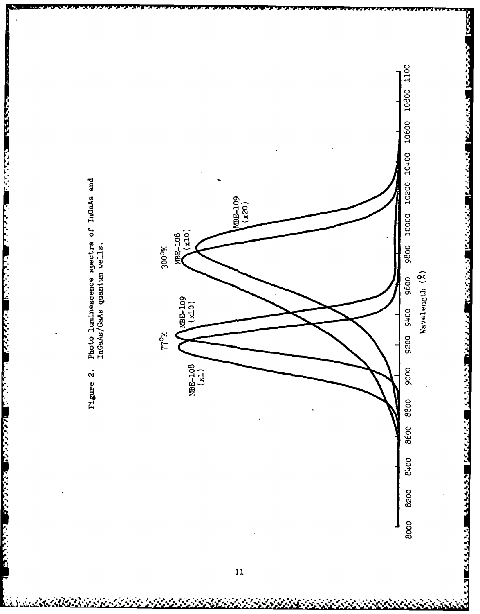

**PERSONAL** 

**CARL AND** 

المستعدد والمرادي

THE REPORT OF THE REPORT OF THE PROPERTY OF THE REPORT OF THE REPORT OF THE REPORT OF THE REPORT OF THE REPORT OF THE REPORT OF THE REPORT OF THE REPORT OF THE REPORT OF THE REPORT OF THE REPORT OF THE REPORT OF THE REPORT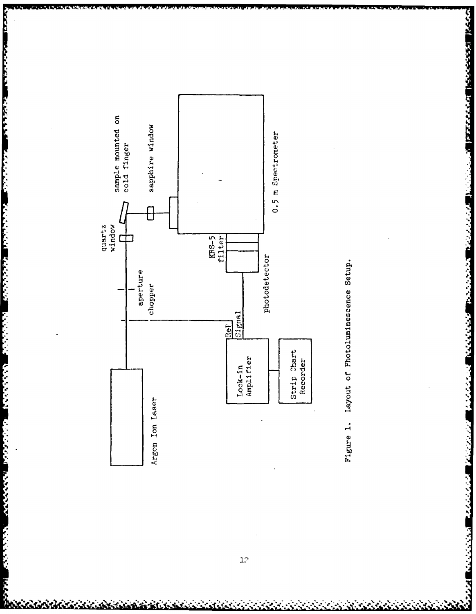

**AND AND INTERNATIONAL CONTRACT OF A STATE OF A STATE OF A STATE OF A STATE OF A STATE OF A STATE OF A STATE OF** 

**ALLEN STORES** 

E<br>E

**WASHER** 

<u> Alexandrich (Alexandrich Indian Indian Indian Indian Indian Indian Indian Indian Indian Indian Indian Indian</u>

فكحاء أولا فالافكان



A MARTING TRANSPORTED TO THE THE CONTRACTOR OF PERSONS IN BEARING THE CONTRACTOR

والمرارات والمناسكة

医无心的心理

المناور والمناور والمنافي المتروح والمتوافق

 $12^{\circ}$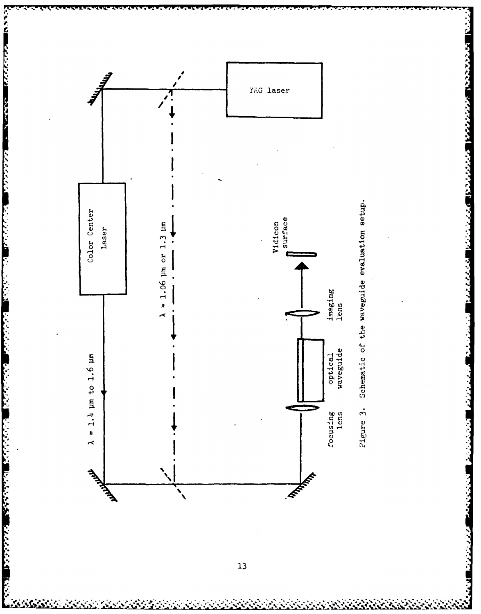

.<br>2

الحددوح والمحال المتعادد والمحافظ

المناسبة والمراكبة المعالمية المسار

**MARINE CONTROL DESCRIPTION OF A SECOND PROPERTY OF A SECOND PROPERTY OF A SECOND PROPERTY OF A SECOND PROPERTY** 

医心室膜膜炎 医心包的 医心包膜炎 医心包的 医阿尔伯氏试验检尿道 医心包的 医心包的 医心包的 医心包的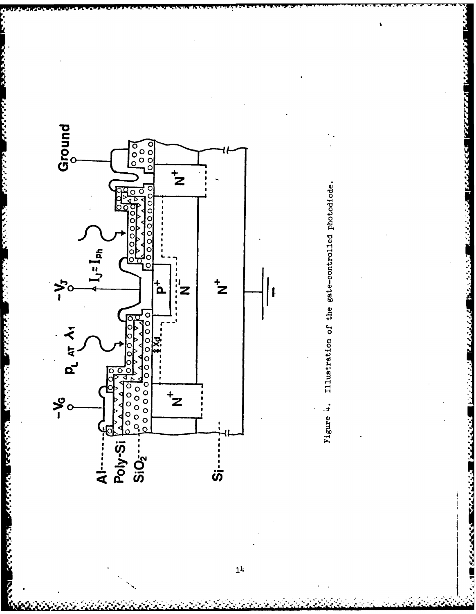

あいいく いんこう しょうこう いんこう こうじょう こうじょう こうじょう しょうじょう

E



والماكون والتحادي المحالف والمرا

**NASA SERIA SERIA** 

ビュー・シュー

والأوالي فيالي ليرتبط المحالي

**A BASSASSED VALUATION** 

 $1<sup>1</sup>$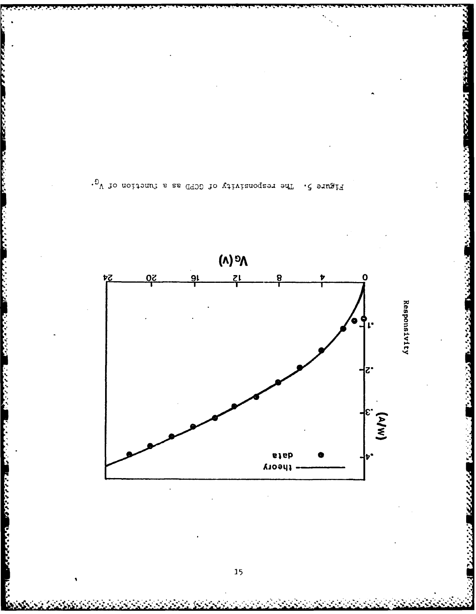



<u>r.c.</u>

الخذذ وخفخا

**MARTINES** 

الاشتران المناطق المنابع.<br>الأمان المناطق المنابع

ł

فتحامل والمحالفة المستنقط والمتحالي والمنافية

 $\ddot{\phantom{a}}$ 

3222222

インティング こうしん いいいかい こうしょう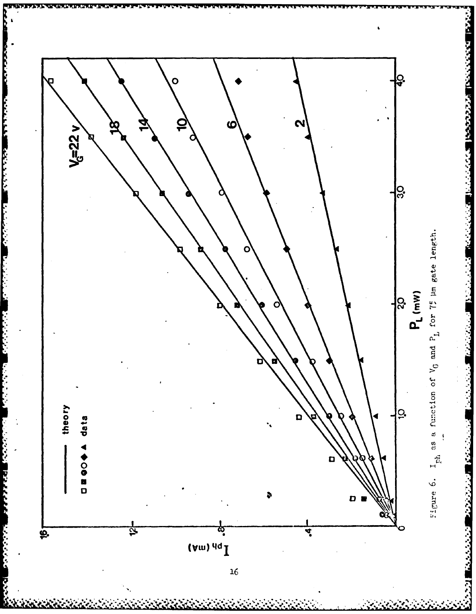

Ì,

F

**PERSONAL** 

 $\overline{16}$